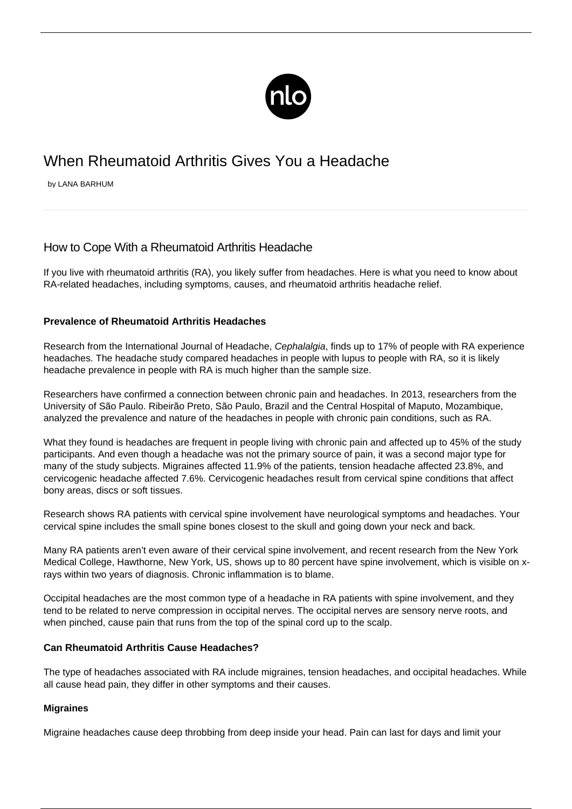

# When Rheumatoid Arthritis Gives You a Headache

by LANA BARHUM

# How to Cope With a Rheumatoid Arthritis Headache

If you live with rheumatoid arthritis (RA), you likely suffer from headaches. Here is what you need to know about RA-related headaches, including symptoms, causes, and rheumatoid arthritis headache relief.

# **Prevalence of Rheumatoid Arthritis Headaches**

Research from the International Journal of Headache, Cephalalgia, finds [up to 17% of people with RA experience](https://www.ncbi.nlm.nih.gov/pubmed/15566417) [headaches](https://www.ncbi.nlm.nih.gov/pubmed/15566417). The headache study compared headaches in people with lupus to people with RA, so it is likely headache prevalence in people with RA is much higher than the sample size.

Researchers have confirmed a connection between chronic pain and headaches. In 2013, researchers from the University of São Paulo. Ribeirão Preto, São Paulo, Brazil and the Central Hospital of Maputo, Mozambique, analyzed the prevalence and nature of the headaches in people with chronic pain conditions, such as RA.

What they found is headaches are frequent in people living with chronic pain and affected [up to 45% of the study](http://www.scielo.br/pdf/rdor/v13n3/en_v13n3a06.pdf) [participants](http://www.scielo.br/pdf/rdor/v13n3/en_v13n3a06.pdf). And even though a headache was not the primary source of pain, it was a second major type for many of the study subjects. Migraines affected 11.9% of the patients, tension headache affected 23.8%, and cervicogenic headache affected 7.6%. Cervicogenic headaches result from cervical spine conditions that affect bony areas, discs or soft tissues.

Research shows RA patients with cervical spine involvement have neurological symptoms and headaches. Your cervical spine includes the small spine bones closest to the skull and going down your neck and back.

Many RA patients aren't even aware of their cervical spine involvement, and recent research from the New York Medical College, Hawthorne, New York, US, shows up to 80 percent have spine involvement, which is visible on xrays within two years of diagnosis. Chronic inflammation is to blame.

Occipital headaches are the most common type of a headache in RA patients with spine involvement, and they tend to be related to nerve compression in occipital nerves. The occipital nerves are sensory nerve roots, and when pinched, cause pain that runs from the top of the spinal cord up to the scalp.

# **Can Rheumatoid Arthritis Cause Headaches?**

The type of headaches associated with RA include migraines, tension headaches, and occipital headaches. While all cause head pain, they differ in other symptoms and their causes.

# **Migraines**

Migraine headaches cause deep throbbing from deep inside your head. Pain can last for days and limit your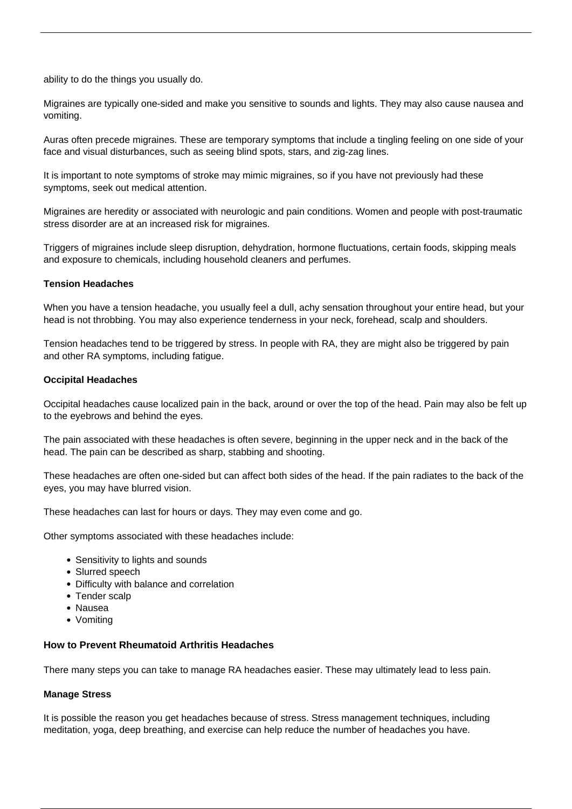ability to do the things you usually do.

Migraines are typically one-sided and make you sensitive to sounds and lights. They may also cause nausea and vomiting.

Auras often precede migraines. These are temporary symptoms that include a tingling feeling on one side of your face and visual disturbances, such as seeing blind spots, stars, and zig-zag lines.

It is important to note symptoms of stroke may mimic migraines, so if you have not previously had these symptoms, seek out medical attention.

Migraines are heredity or associated with neurologic and pain conditions. Women and people with post-traumatic stress disorder are at an increased risk for migraines.

Triggers of migraines include sleep disruption, dehydration, hormone fluctuations, certain foods, skipping meals and exposure to chemicals, including household cleaners and perfumes.

#### **Tension Headaches**

When you have a tension headache, you usually feel a dull, achy sensation throughout your entire head, but your head is not throbbing. You may also experience tenderness in your neck, forehead, scalp and shoulders.

Tension headaches tend to be triggered by stress. In people with RA, they are might also be triggered by pain and other [RA symptoms,](/rheumatoid-arthritis-symptoms/) including fatigue.

#### **Occipital Headaches**

Occipital headaches cause localized pain in the back, around or over the top of the head. Pain may also be felt up to the eyebrows and behind the eyes.

The pain associated with these headaches is often severe, beginning in the upper neck and in the back of the head. The pain can be described as sharp, stabbing and shooting.

These headaches are often one-sided but can affect both sides of the head. If the pain radiates to the back of the eyes, you may have blurred vision.

These headaches can last for hours or days. They may even come and go.

Other symptoms associated with these headaches include:

- Sensitivity to lights and sounds
- Slurred speech
- Difficulty with balance and correlation
- Tender scalp
- Nausea
- Vomiting

#### **How to Prevent Rheumatoid Arthritis Headaches**

There many steps you can take to manage RA headaches easier. These may ultimately lead to less pain.

#### **Manage Stress**

It is possible the reason you get headaches because of stress. Stress management techniques, including meditation, yoga, deep breathing, and exercise can help reduce the number of headaches you have.